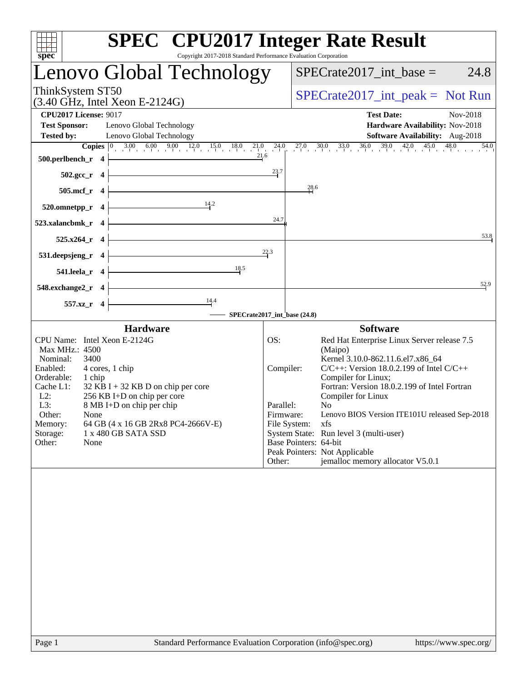| spec                                                                                                                                                                                                                                                                                                                                                                                                   | <b>SPEC<sup>®</sup></b> CPU2017 Integer Rate Result<br>Copyright 2017-2018 Standard Performance Evaluation Corporation                                                                                                                                                                                                                                                                                                                                                                                                                                 |
|--------------------------------------------------------------------------------------------------------------------------------------------------------------------------------------------------------------------------------------------------------------------------------------------------------------------------------------------------------------------------------------------------------|--------------------------------------------------------------------------------------------------------------------------------------------------------------------------------------------------------------------------------------------------------------------------------------------------------------------------------------------------------------------------------------------------------------------------------------------------------------------------------------------------------------------------------------------------------|
| Lenovo Global Technology                                                                                                                                                                                                                                                                                                                                                                               | $SPECrate2017\_int\_base =$<br>24.8                                                                                                                                                                                                                                                                                                                                                                                                                                                                                                                    |
| ThinkSystem ST50<br>$(3.40 \text{ GHz}, \text{Intel Xeon E-2124G})$                                                                                                                                                                                                                                                                                                                                    | $SPECrate2017\_int\_peak = Not Run$                                                                                                                                                                                                                                                                                                                                                                                                                                                                                                                    |
| <b>CPU2017 License: 9017</b><br><b>Test Sponsor:</b><br>Lenovo Global Technology<br><b>Tested by:</b><br>Lenovo Global Technology                                                                                                                                                                                                                                                                      | <b>Test Date:</b><br>Nov-2018<br>Hardware Availability: Nov-2018<br>Software Availability: Aug-2018                                                                                                                                                                                                                                                                                                                                                                                                                                                    |
| 21.6<br>500.perlbench_r 4                                                                                                                                                                                                                                                                                                                                                                              | <b>Copies</b> $\begin{bmatrix} 0 & 3.00 & 6.00 & 9.00 & 12.0 & 15.0 & 18.0 & 21.0 & 24.0 & 27.0 & 30.0 & 33.0 & 36.0 & 39.0 & 42.0 & 45.0 & 48.0 & 54.0 \end{bmatrix}$<br>$\overline{54.0}$<br>23.7                                                                                                                                                                                                                                                                                                                                                    |
| $502.\text{gcc}_r$ 4<br>505.mcf_r 4                                                                                                                                                                                                                                                                                                                                                                    | 28.6                                                                                                                                                                                                                                                                                                                                                                                                                                                                                                                                                   |
| 14.2<br>520.omnetpp_r 4<br>523.xalancbmk_r 4                                                                                                                                                                                                                                                                                                                                                           | 24.7                                                                                                                                                                                                                                                                                                                                                                                                                                                                                                                                                   |
| $525.x264_r$ 4                                                                                                                                                                                                                                                                                                                                                                                         | 53.8<br>22.3                                                                                                                                                                                                                                                                                                                                                                                                                                                                                                                                           |
| 531.deepsjeng_r<br>$\overline{\mathbf{4}}$<br>18.5<br>541.leela_r 4                                                                                                                                                                                                                                                                                                                                    |                                                                                                                                                                                                                                                                                                                                                                                                                                                                                                                                                        |
| 548.exchange2_r 4<br>$\frac{14.4}{ }$<br>557.xz_r 4                                                                                                                                                                                                                                                                                                                                                    | 52.9<br>SPECrate2017_int_base (24.8)                                                                                                                                                                                                                                                                                                                                                                                                                                                                                                                   |
| <b>Hardware</b><br>CPU Name: Intel Xeon E-2124G<br>Max MHz.: 4500<br>3400<br>Nominal:<br>Enabled:<br>4 cores, 1 chip<br>Orderable:<br>1 chip<br>Cache L1:<br>$32$ KB I + 32 KB D on chip per core<br>$L2$ :<br>256 KB I+D on chip per core<br>L3:<br>8 MB I+D on chip per chip<br>Other:<br>None<br>Memory:<br>64 GB (4 x 16 GB 2Rx8 PC4-2666V-E)<br>Storage:<br>1 x 480 GB SATA SSD<br>Other:<br>None | <b>Software</b><br>OS:<br>Red Hat Enterprise Linux Server release 7.5<br>(Maipo)<br>Kernel 3.10.0-862.11.6.el7.x86 64<br>$C/C++$ : Version 18.0.2.199 of Intel $C/C++$<br>Compiler:<br>Compiler for Linux;<br>Fortran: Version 18.0.2.199 of Intel Fortran<br>Compiler for Linux<br>Parallel:<br>N <sub>o</sub><br>Lenovo BIOS Version ITE101U released Sep-2018<br>Firmware:<br>File System:<br>xfs<br>System State: Run level 3 (multi-user)<br>Base Pointers: 64-bit<br>Peak Pointers: Not Applicable<br>jemalloc memory allocator V5.0.1<br>Other: |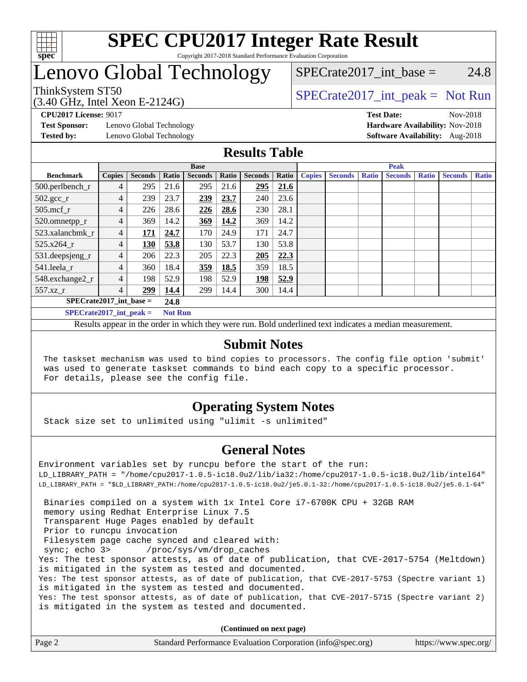

#### **[SPEC CPU2017 Integer Rate Result](http://www.spec.org/auto/cpu2017/Docs/result-fields.html#SPECCPU2017IntegerRateResult)** Copyright 2017-2018 Standard Performance Evaluation Corporation

# Lenovo Global Technology

 $SPECTate2017\_int\_base = 24.8$ 

(3.40 GHz, Intel Xeon E-2124G)

ThinkSystem ST50  $SPECrate2017$ \_int\_peak = Not Run

**[Test Sponsor:](http://www.spec.org/auto/cpu2017/Docs/result-fields.html#TestSponsor)** Lenovo Global Technology **[Hardware Availability:](http://www.spec.org/auto/cpu2017/Docs/result-fields.html#HardwareAvailability)** Nov-2018 **[Tested by:](http://www.spec.org/auto/cpu2017/Docs/result-fields.html#Testedby)** Lenovo Global Technology **[Software Availability:](http://www.spec.org/auto/cpu2017/Docs/result-fields.html#SoftwareAvailability)** Aug-2018

**[CPU2017 License:](http://www.spec.org/auto/cpu2017/Docs/result-fields.html#CPU2017License)** 9017 **[Test Date:](http://www.spec.org/auto/cpu2017/Docs/result-fields.html#TestDate)** Nov-2018

### **[Results Table](http://www.spec.org/auto/cpu2017/Docs/result-fields.html#ResultsTable)**

|                             | <b>Base</b>    |                |                |                |       |                | <b>Peak</b> |               |                |              |                |              |                |              |
|-----------------------------|----------------|----------------|----------------|----------------|-------|----------------|-------------|---------------|----------------|--------------|----------------|--------------|----------------|--------------|
| <b>Benchmark</b>            | <b>Copies</b>  | <b>Seconds</b> | Ratio          | <b>Seconds</b> | Ratio | <b>Seconds</b> | Ratio       | <b>Copies</b> | <b>Seconds</b> | <b>Ratio</b> | <b>Seconds</b> | <b>Ratio</b> | <b>Seconds</b> | <b>Ratio</b> |
| 500.perlbench_r             | 4              | 295            | 21.6           | 295            | 21.6  | 295            | 21.6        |               |                |              |                |              |                |              |
| $502.\text{sec}$            | 4              | 239            | 23.7           | 239            | 23.7  | 240            | 23.6        |               |                |              |                |              |                |              |
| $505$ .mcf r                | $\overline{4}$ | 226            | 28.6           | 226            | 28.6  | 230            | 28.1        |               |                |              |                |              |                |              |
| 520.omnetpp_r               | 4              | 369            | 14.2           | 369            | 14.2  | 369            | 14.2        |               |                |              |                |              |                |              |
| 523.xalancbmk r             | 4              | 171            | 24.7           | 170            | 24.9  | 171            | 24.7        |               |                |              |                |              |                |              |
| 525.x264 r                  | $\overline{4}$ | 130            | 53.8           | 130            | 53.7  | 130            | 53.8        |               |                |              |                |              |                |              |
| 531.deepsjeng_r             | 4              | 206            | 22.3           | 205            | 22.3  | 205            | 22.3        |               |                |              |                |              |                |              |
| 541.leela r                 | 4              | 360            | 18.4           | 359            | 18.5  | 359            | 18.5        |               |                |              |                |              |                |              |
| 548.exchange2_r             | 4              | 198            | 52.9           | 198            | 52.9  | 198            | 52.9        |               |                |              |                |              |                |              |
| $557.xz$ _r                 | 4              | 299            | 14.4           | 299            | 14.4  | 300            | 14.4        |               |                |              |                |              |                |              |
| $SPECrate2017$ int base =   |                |                | 24.8           |                |       |                |             |               |                |              |                |              |                |              |
| $SPECrate2017\_int\_peak =$ |                |                | <b>Not Run</b> |                |       |                |             |               |                |              |                |              |                |              |

Results appear in the [order in which they were run](http://www.spec.org/auto/cpu2017/Docs/result-fields.html#RunOrder). Bold underlined text [indicates a median measurement](http://www.spec.org/auto/cpu2017/Docs/result-fields.html#Median).

### **[Submit Notes](http://www.spec.org/auto/cpu2017/Docs/result-fields.html#SubmitNotes)**

 The taskset mechanism was used to bind copies to processors. The config file option 'submit' was used to generate taskset commands to bind each copy to a specific processor. For details, please see the config file.

### **[Operating System Notes](http://www.spec.org/auto/cpu2017/Docs/result-fields.html#OperatingSystemNotes)**

Stack size set to unlimited using "ulimit -s unlimited"

### **[General Notes](http://www.spec.org/auto/cpu2017/Docs/result-fields.html#GeneralNotes)**

Environment variables set by runcpu before the start of the run: LD\_LIBRARY\_PATH = "/home/cpu2017-1.0.5-ic18.0u2/lib/ia32:/home/cpu2017-1.0.5-ic18.0u2/lib/intel64" LD\_LIBRARY\_PATH = "\$LD\_LIBRARY\_PATH:/home/cpu2017-1.0.5-ic18.0u2/je5.0.1-32:/home/cpu2017-1.0.5-ic18.0u2/je5.0.1-64" Binaries compiled on a system with 1x Intel Core i7-6700K CPU + 32GB RAM memory using Redhat Enterprise Linux 7.5 Transparent Huge Pages enabled by default Prior to runcpu invocation Filesystem page cache synced and cleared with: sync; echo 3> /proc/sys/vm/drop\_caches Yes: The test sponsor attests, as of date of publication, that CVE-2017-5754 (Meltdown) is mitigated in the system as tested and documented. Yes: The test sponsor attests, as of date of publication, that CVE-2017-5753 (Spectre variant 1) is mitigated in the system as tested and documented. Yes: The test sponsor attests, as of date of publication, that CVE-2017-5715 (Spectre variant 2) is mitigated in the system as tested and documented.

**(Continued on next page)**

| Page 2<br>Standard Performance Evaluation Corporation (info@spec.org) |  |  | https://www.spec.org/ |
|-----------------------------------------------------------------------|--|--|-----------------------|
|-----------------------------------------------------------------------|--|--|-----------------------|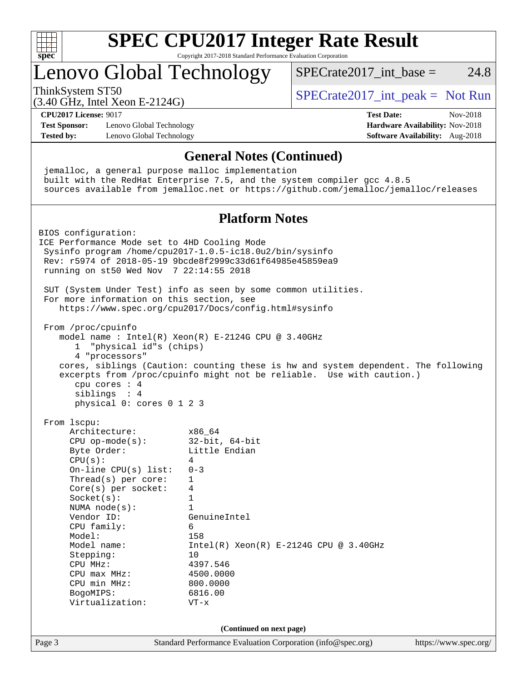

# **[SPEC CPU2017 Integer Rate Result](http://www.spec.org/auto/cpu2017/Docs/result-fields.html#SPECCPU2017IntegerRateResult)**

Copyright 2017-2018 Standard Performance Evaluation Corporation

# Lenovo Global Technology

ThinkSystem ST50  $SPECrate2017$ \_int\_peak = Not Run

SPECrate  $2017$  int base = 24.8

(3.40 GHz, Intel Xeon E-2124G)

**[CPU2017 License:](http://www.spec.org/auto/cpu2017/Docs/result-fields.html#CPU2017License)** 9017 **[Test Date:](http://www.spec.org/auto/cpu2017/Docs/result-fields.html#TestDate)** Nov-2018

**[Test Sponsor:](http://www.spec.org/auto/cpu2017/Docs/result-fields.html#TestSponsor)** Lenovo Global Technology **[Hardware Availability:](http://www.spec.org/auto/cpu2017/Docs/result-fields.html#HardwareAvailability)** Nov-2018 **[Tested by:](http://www.spec.org/auto/cpu2017/Docs/result-fields.html#Testedby)** Lenovo Global Technology **[Software Availability:](http://www.spec.org/auto/cpu2017/Docs/result-fields.html#SoftwareAvailability)** Aug-2018

Page 3 Standard Performance Evaluation Corporation [\(info@spec.org\)](mailto:info@spec.org) <https://www.spec.org/> **[General Notes \(Continued\)](http://www.spec.org/auto/cpu2017/Docs/result-fields.html#GeneralNotes)** jemalloc, a general purpose malloc implementation built with the RedHat Enterprise 7.5, and the system compiler gcc 4.8.5 sources available from jemalloc.net or <https://github.com/jemalloc/jemalloc/releases> **[Platform Notes](http://www.spec.org/auto/cpu2017/Docs/result-fields.html#PlatformNotes)** BIOS configuration: ICE Performance Mode set to 4HD Cooling Mode Sysinfo program /home/cpu2017-1.0.5-ic18.0u2/bin/sysinfo Rev: r5974 of 2018-05-19 9bcde8f2999c33d61f64985e45859ea9 running on st50 Wed Nov 7 22:14:55 2018 SUT (System Under Test) info as seen by some common utilities. For more information on this section, see <https://www.spec.org/cpu2017/Docs/config.html#sysinfo> From /proc/cpuinfo model name : Intel(R) Xeon(R) E-2124G CPU @ 3.40GHz 1 "physical id"s (chips) 4 "processors" cores, siblings (Caution: counting these is hw and system dependent. The following excerpts from /proc/cpuinfo might not be reliable. Use with caution.) cpu cores : 4 siblings : 4 physical 0: cores 0 1 2 3 From lscpu: Architecture: x86\_64 CPU op-mode(s): 32-bit, 64-bit Byte Order: Little Endian  $CPU(s):$  4 On-line CPU(s) list: 0-3 Thread(s) per core: 1 Core(s) per socket: 4 Socket(s): 1 NUMA node(s): 1 Vendor ID: GenuineIntel CPU family: 6 Model: 158 Model name: Intel(R) Xeon(R) E-2124G CPU @ 3.40GHz Stepping: 10 CPU MHz: 4397.546 CPU max MHz: 4500.0000 CPU min MHz: 800.0000 BogoMIPS: 6816.00 Virtualization: VT-x **(Continued on next page)**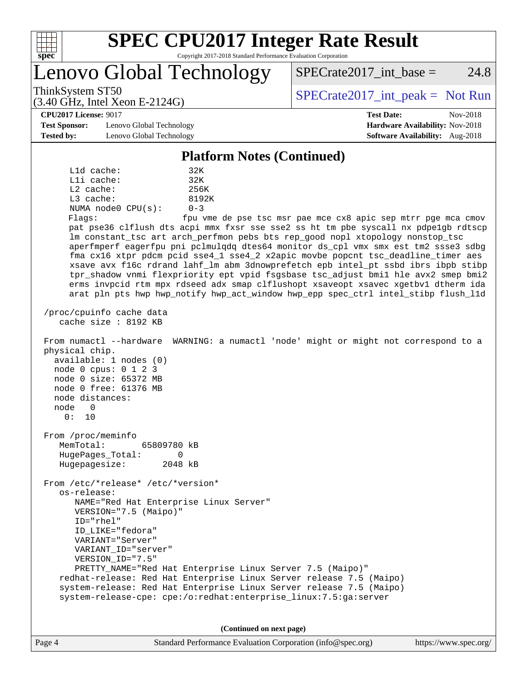

# **[SPEC CPU2017 Integer Rate Result](http://www.spec.org/auto/cpu2017/Docs/result-fields.html#SPECCPU2017IntegerRateResult)**

Copyright 2017-2018 Standard Performance Evaluation Corporation

Lenovo Global Technology

ThinkSystem ST50  $SPECrate2017$ \_int\_peak = Not Run

 $SPECTate2017\_int\_base = 24.8$ 

#### **[CPU2017 License:](http://www.spec.org/auto/cpu2017/Docs/result-fields.html#CPU2017License)** 9017 **[Test Date:](http://www.spec.org/auto/cpu2017/Docs/result-fields.html#TestDate)** Nov-2018

**[Test Sponsor:](http://www.spec.org/auto/cpu2017/Docs/result-fields.html#TestSponsor)** Lenovo Global Technology **[Hardware Availability:](http://www.spec.org/auto/cpu2017/Docs/result-fields.html#HardwareAvailability)** Nov-2018 **[Tested by:](http://www.spec.org/auto/cpu2017/Docs/result-fields.html#Testedby)** Lenovo Global Technology **[Software Availability:](http://www.spec.org/auto/cpu2017/Docs/result-fields.html#SoftwareAvailability)** Aug-2018

(3.40 GHz, Intel Xeon E-2124G)

#### **[Platform Notes \(Continued\)](http://www.spec.org/auto/cpu2017/Docs/result-fields.html#PlatformNotes)**

 L1d cache: 32K L1i cache: 32K L2 cache: 256K L3 cache: 8192K NUMA node0 CPU(s): 0-3 Flags: fpu vme de pse tsc msr pae mce cx8 apic sep mtrr pge mca cmov pat pse36 clflush dts acpi mmx fxsr sse sse2 ss ht tm pbe syscall nx pdpe1gb rdtscp lm constant\_tsc art arch\_perfmon pebs bts rep\_good nopl xtopology nonstop\_tsc aperfmperf eagerfpu pni pclmulqdq dtes64 monitor ds\_cpl vmx smx est tm2 ssse3 sdbg fma cx16 xtpr pdcm pcid sse4\_1 sse4\_2 x2apic movbe popcnt tsc\_deadline\_timer aes xsave avx f16c rdrand lahf\_lm abm 3dnowprefetch epb intel\_pt ssbd ibrs ibpb stibp tpr\_shadow vnmi flexpriority ept vpid fsgsbase tsc\_adjust bmi1 hle avx2 smep bmi2 erms invpcid rtm mpx rdseed adx smap clflushopt xsaveopt xsavec xgetbv1 dtherm ida arat pln pts hwp hwp\_notify hwp\_act\_window hwp\_epp spec\_ctrl intel\_stibp flush\_l1d /proc/cpuinfo cache data cache size : 8192 KB From numactl --hardware WARNING: a numactl 'node' might or might not correspond to a physical chip. available: 1 nodes (0) node 0 cpus: 0 1 2 3 node 0 size: 65372 MB node 0 free: 61376 MB node distances: node 0 0: 10 From /proc/meminfo MemTotal: 65809780 kB HugePages\_Total: 0 Hugepagesize: 2048 kB From /etc/\*release\* /etc/\*version\* os-release: NAME="Red Hat Enterprise Linux Server" VERSION="7.5 (Maipo)" ID="rhel" ID\_LIKE="fedora" VARIANT="Server" VARIANT\_ID="server" VERSION\_ID="7.5" PRETTY\_NAME="Red Hat Enterprise Linux Server 7.5 (Maipo)" redhat-release: Red Hat Enterprise Linux Server release 7.5 (Maipo) system-release: Red Hat Enterprise Linux Server release 7.5 (Maipo) system-release-cpe: cpe:/o:redhat:enterprise\_linux:7.5:ga:server

**(Continued on next page)**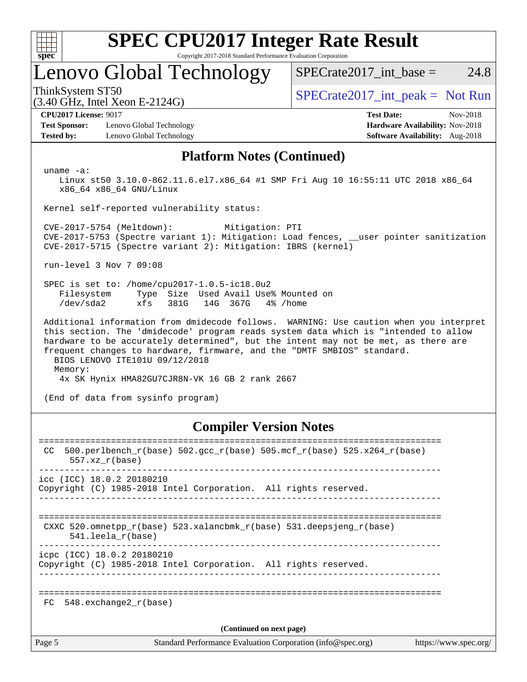

# **[SPEC CPU2017 Integer Rate Result](http://www.spec.org/auto/cpu2017/Docs/result-fields.html#SPECCPU2017IntegerRateResult)**

Copyright 2017-2018 Standard Performance Evaluation Corporation

# Lenovo Global Technology

 $SPECTate2017\_int\_base = 24.8$ 

(3.40 GHz, Intel Xeon E-2124G)

ThinkSystem ST50  $SPECrate2017$ \_int\_peak = Not Run

**[Test Sponsor:](http://www.spec.org/auto/cpu2017/Docs/result-fields.html#TestSponsor)** Lenovo Global Technology **[Hardware Availability:](http://www.spec.org/auto/cpu2017/Docs/result-fields.html#HardwareAvailability)** Nov-2018 **[Tested by:](http://www.spec.org/auto/cpu2017/Docs/result-fields.html#Testedby)** Lenovo Global Technology **[Software Availability:](http://www.spec.org/auto/cpu2017/Docs/result-fields.html#SoftwareAvailability)** Aug-2018

**[CPU2017 License:](http://www.spec.org/auto/cpu2017/Docs/result-fields.html#CPU2017License)** 9017 **[Test Date:](http://www.spec.org/auto/cpu2017/Docs/result-fields.html#TestDate)** Nov-2018

### **[Platform Notes \(Continued\)](http://www.spec.org/auto/cpu2017/Docs/result-fields.html#PlatformNotes)**

uname -a:

 Linux st50 3.10.0-862.11.6.el7.x86\_64 #1 SMP Fri Aug 10 16:55:11 UTC 2018 x86\_64 x86\_64 x86\_64 GNU/Linux

Kernel self-reported vulnerability status:

 CVE-2017-5754 (Meltdown): Mitigation: PTI CVE-2017-5753 (Spectre variant 1): Mitigation: Load fences, \_\_user pointer sanitization CVE-2017-5715 (Spectre variant 2): Mitigation: IBRS (kernel)

run-level 3 Nov 7 09:08

 SPEC is set to: /home/cpu2017-1.0.5-ic18.0u2 Filesystem Type Size Used Avail Use% Mounted on /dev/sda2 xfs 381G 14G 367G 4% /home

 Additional information from dmidecode follows. WARNING: Use caution when you interpret this section. The 'dmidecode' program reads system data which is "intended to allow hardware to be accurately determined", but the intent may not be met, as there are frequent changes to hardware, firmware, and the "DMTF SMBIOS" standard. BIOS LENOVO ITE101U 09/12/2018

Memory:

4x SK Hynix HMA82GU7CJR8N-VK 16 GB 2 rank 2667

(End of data from sysinfo program)

### **[Compiler Version Notes](http://www.spec.org/auto/cpu2017/Docs/result-fields.html#CompilerVersionNotes)**

| CC.                      | 500.perlbench_r(base) 502.gcc_r(base) 505.mcf_r(base) 525.x264_r(base)<br>$557.xx$ $r(base)$       |  |  |  |  |  |
|--------------------------|----------------------------------------------------------------------------------------------------|--|--|--|--|--|
|                          | icc (ICC) 18.0.2 20180210<br>Copyright (C) 1985-2018 Intel Corporation. All rights reserved.       |  |  |  |  |  |
|                          | CXXC 520.omnetpp $r(base)$ 523.xalancbmk $r(base)$ 531.deepsjeng $r(base)$<br>$541.$ leela r(base) |  |  |  |  |  |
|                          | icpc (ICC) 18.0.2 20180210<br>Copyright (C) 1985-2018 Intel Corporation. All rights reserved.      |  |  |  |  |  |
| FC.                      | 548.exchange2 r(base)                                                                              |  |  |  |  |  |
| (Continued on next page) |                                                                                                    |  |  |  |  |  |
| Page 5                   | Standard Performance Evaluation Corporation (info@spec.org)<br>https://www.spec.org/               |  |  |  |  |  |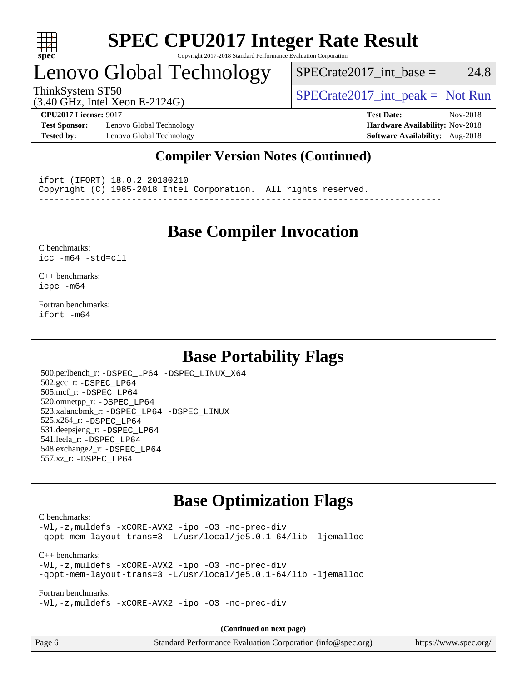

#### **[SPEC CPU2017 Integer Rate Result](http://www.spec.org/auto/cpu2017/Docs/result-fields.html#SPECCPU2017IntegerRateResult)** Copyright 2017-2018 Standard Performance Evaluation Corporation

# Lenovo Global Technology

 $SPECTate2017\_int\_base = 24.8$ 

(3.40 GHz, Intel Xeon E-2124G)

ThinkSystem ST50  $SPECrate2017$ \_int\_peak = Not Run

**[Test Sponsor:](http://www.spec.org/auto/cpu2017/Docs/result-fields.html#TestSponsor)** Lenovo Global Technology **[Hardware Availability:](http://www.spec.org/auto/cpu2017/Docs/result-fields.html#HardwareAvailability)** Nov-2018 **[Tested by:](http://www.spec.org/auto/cpu2017/Docs/result-fields.html#Testedby)** Lenovo Global Technology **[Software Availability:](http://www.spec.org/auto/cpu2017/Docs/result-fields.html#SoftwareAvailability)** Aug-2018

**[CPU2017 License:](http://www.spec.org/auto/cpu2017/Docs/result-fields.html#CPU2017License)** 9017 **[Test Date:](http://www.spec.org/auto/cpu2017/Docs/result-fields.html#TestDate)** Nov-2018

### **[Compiler Version Notes \(Continued\)](http://www.spec.org/auto/cpu2017/Docs/result-fields.html#CompilerVersionNotes)**

------------------------------------------------------------------------------

ifort (IFORT) 18.0.2 20180210

Copyright (C) 1985-2018 Intel Corporation. All rights reserved.

------------------------------------------------------------------------------

## **[Base Compiler Invocation](http://www.spec.org/auto/cpu2017/Docs/result-fields.html#BaseCompilerInvocation)**

#### [C benchmarks](http://www.spec.org/auto/cpu2017/Docs/result-fields.html#Cbenchmarks): [icc -m64 -std=c11](http://www.spec.org/cpu2017/results/res2018q4/cpu2017-20181126-09917.flags.html#user_CCbase_intel_icc_64bit_c11_33ee0cdaae7deeeab2a9725423ba97205ce30f63b9926c2519791662299b76a0318f32ddfffdc46587804de3178b4f9328c46fa7c2b0cd779d7a61945c91cd35)

[C++ benchmarks:](http://www.spec.org/auto/cpu2017/Docs/result-fields.html#CXXbenchmarks) [icpc -m64](http://www.spec.org/cpu2017/results/res2018q4/cpu2017-20181126-09917.flags.html#user_CXXbase_intel_icpc_64bit_4ecb2543ae3f1412ef961e0650ca070fec7b7afdcd6ed48761b84423119d1bf6bdf5cad15b44d48e7256388bc77273b966e5eb805aefd121eb22e9299b2ec9d9)

[Fortran benchmarks](http://www.spec.org/auto/cpu2017/Docs/result-fields.html#Fortranbenchmarks): [ifort -m64](http://www.spec.org/cpu2017/results/res2018q4/cpu2017-20181126-09917.flags.html#user_FCbase_intel_ifort_64bit_24f2bb282fbaeffd6157abe4f878425411749daecae9a33200eee2bee2fe76f3b89351d69a8130dd5949958ce389cf37ff59a95e7a40d588e8d3a57e0c3fd751)

## **[Base Portability Flags](http://www.spec.org/auto/cpu2017/Docs/result-fields.html#BasePortabilityFlags)**

 500.perlbench\_r: [-DSPEC\\_LP64](http://www.spec.org/cpu2017/results/res2018q4/cpu2017-20181126-09917.flags.html#b500.perlbench_r_basePORTABILITY_DSPEC_LP64) [-DSPEC\\_LINUX\\_X64](http://www.spec.org/cpu2017/results/res2018q4/cpu2017-20181126-09917.flags.html#b500.perlbench_r_baseCPORTABILITY_DSPEC_LINUX_X64) 502.gcc\_r: [-DSPEC\\_LP64](http://www.spec.org/cpu2017/results/res2018q4/cpu2017-20181126-09917.flags.html#suite_basePORTABILITY502_gcc_r_DSPEC_LP64) 505.mcf\_r: [-DSPEC\\_LP64](http://www.spec.org/cpu2017/results/res2018q4/cpu2017-20181126-09917.flags.html#suite_basePORTABILITY505_mcf_r_DSPEC_LP64) 520.omnetpp\_r: [-DSPEC\\_LP64](http://www.spec.org/cpu2017/results/res2018q4/cpu2017-20181126-09917.flags.html#suite_basePORTABILITY520_omnetpp_r_DSPEC_LP64) 523.xalancbmk\_r: [-DSPEC\\_LP64](http://www.spec.org/cpu2017/results/res2018q4/cpu2017-20181126-09917.flags.html#suite_basePORTABILITY523_xalancbmk_r_DSPEC_LP64) [-DSPEC\\_LINUX](http://www.spec.org/cpu2017/results/res2018q4/cpu2017-20181126-09917.flags.html#b523.xalancbmk_r_baseCXXPORTABILITY_DSPEC_LINUX) 525.x264\_r: [-DSPEC\\_LP64](http://www.spec.org/cpu2017/results/res2018q4/cpu2017-20181126-09917.flags.html#suite_basePORTABILITY525_x264_r_DSPEC_LP64) 531.deepsjeng\_r: [-DSPEC\\_LP64](http://www.spec.org/cpu2017/results/res2018q4/cpu2017-20181126-09917.flags.html#suite_basePORTABILITY531_deepsjeng_r_DSPEC_LP64) 541.leela\_r: [-DSPEC\\_LP64](http://www.spec.org/cpu2017/results/res2018q4/cpu2017-20181126-09917.flags.html#suite_basePORTABILITY541_leela_r_DSPEC_LP64) 548.exchange2\_r: [-DSPEC\\_LP64](http://www.spec.org/cpu2017/results/res2018q4/cpu2017-20181126-09917.flags.html#suite_basePORTABILITY548_exchange2_r_DSPEC_LP64) 557.xz\_r: [-DSPEC\\_LP64](http://www.spec.org/cpu2017/results/res2018q4/cpu2017-20181126-09917.flags.html#suite_basePORTABILITY557_xz_r_DSPEC_LP64)

## **[Base Optimization Flags](http://www.spec.org/auto/cpu2017/Docs/result-fields.html#BaseOptimizationFlags)**

#### [C benchmarks](http://www.spec.org/auto/cpu2017/Docs/result-fields.html#Cbenchmarks):

[-Wl,-z,muldefs](http://www.spec.org/cpu2017/results/res2018q4/cpu2017-20181126-09917.flags.html#user_CCbase_link_force_multiple1_b4cbdb97b34bdee9ceefcfe54f4c8ea74255f0b02a4b23e853cdb0e18eb4525ac79b5a88067c842dd0ee6996c24547a27a4b99331201badda8798ef8a743f577) [-xCORE-AVX2](http://www.spec.org/cpu2017/results/res2018q4/cpu2017-20181126-09917.flags.html#user_CCbase_f-xCORE-AVX2) [-ipo](http://www.spec.org/cpu2017/results/res2018q4/cpu2017-20181126-09917.flags.html#user_CCbase_f-ipo) [-O3](http://www.spec.org/cpu2017/results/res2018q4/cpu2017-20181126-09917.flags.html#user_CCbase_f-O3) [-no-prec-div](http://www.spec.org/cpu2017/results/res2018q4/cpu2017-20181126-09917.flags.html#user_CCbase_f-no-prec-div) [-qopt-mem-layout-trans=3](http://www.spec.org/cpu2017/results/res2018q4/cpu2017-20181126-09917.flags.html#user_CCbase_f-qopt-mem-layout-trans_de80db37974c74b1f0e20d883f0b675c88c3b01e9d123adea9b28688d64333345fb62bc4a798493513fdb68f60282f9a726aa07f478b2f7113531aecce732043) [-L/usr/local/je5.0.1-64/lib](http://www.spec.org/cpu2017/results/res2018q4/cpu2017-20181126-09917.flags.html#user_CCbase_jemalloc_link_path64_4b10a636b7bce113509b17f3bd0d6226c5fb2346b9178c2d0232c14f04ab830f976640479e5c33dc2bcbbdad86ecfb6634cbbd4418746f06f368b512fced5394) [-ljemalloc](http://www.spec.org/cpu2017/results/res2018q4/cpu2017-20181126-09917.flags.html#user_CCbase_jemalloc_link_lib_d1249b907c500fa1c0672f44f562e3d0f79738ae9e3c4a9c376d49f265a04b9c99b167ecedbf6711b3085be911c67ff61f150a17b3472be731631ba4d0471706)

[C++ benchmarks:](http://www.spec.org/auto/cpu2017/Docs/result-fields.html#CXXbenchmarks) [-Wl,-z,muldefs](http://www.spec.org/cpu2017/results/res2018q4/cpu2017-20181126-09917.flags.html#user_CXXbase_link_force_multiple1_b4cbdb97b34bdee9ceefcfe54f4c8ea74255f0b02a4b23e853cdb0e18eb4525ac79b5a88067c842dd0ee6996c24547a27a4b99331201badda8798ef8a743f577) [-xCORE-AVX2](http://www.spec.org/cpu2017/results/res2018q4/cpu2017-20181126-09917.flags.html#user_CXXbase_f-xCORE-AVX2) [-ipo](http://www.spec.org/cpu2017/results/res2018q4/cpu2017-20181126-09917.flags.html#user_CXXbase_f-ipo) [-O3](http://www.spec.org/cpu2017/results/res2018q4/cpu2017-20181126-09917.flags.html#user_CXXbase_f-O3) [-no-prec-div](http://www.spec.org/cpu2017/results/res2018q4/cpu2017-20181126-09917.flags.html#user_CXXbase_f-no-prec-div) [-qopt-mem-layout-trans=3](http://www.spec.org/cpu2017/results/res2018q4/cpu2017-20181126-09917.flags.html#user_CXXbase_f-qopt-mem-layout-trans_de80db37974c74b1f0e20d883f0b675c88c3b01e9d123adea9b28688d64333345fb62bc4a798493513fdb68f60282f9a726aa07f478b2f7113531aecce732043) [-L/usr/local/je5.0.1-64/lib](http://www.spec.org/cpu2017/results/res2018q4/cpu2017-20181126-09917.flags.html#user_CXXbase_jemalloc_link_path64_4b10a636b7bce113509b17f3bd0d6226c5fb2346b9178c2d0232c14f04ab830f976640479e5c33dc2bcbbdad86ecfb6634cbbd4418746f06f368b512fced5394) [-ljemalloc](http://www.spec.org/cpu2017/results/res2018q4/cpu2017-20181126-09917.flags.html#user_CXXbase_jemalloc_link_lib_d1249b907c500fa1c0672f44f562e3d0f79738ae9e3c4a9c376d49f265a04b9c99b167ecedbf6711b3085be911c67ff61f150a17b3472be731631ba4d0471706)

[Fortran benchmarks](http://www.spec.org/auto/cpu2017/Docs/result-fields.html#Fortranbenchmarks): [-Wl,-z,muldefs](http://www.spec.org/cpu2017/results/res2018q4/cpu2017-20181126-09917.flags.html#user_FCbase_link_force_multiple1_b4cbdb97b34bdee9ceefcfe54f4c8ea74255f0b02a4b23e853cdb0e18eb4525ac79b5a88067c842dd0ee6996c24547a27a4b99331201badda8798ef8a743f577) [-xCORE-AVX2](http://www.spec.org/cpu2017/results/res2018q4/cpu2017-20181126-09917.flags.html#user_FCbase_f-xCORE-AVX2) [-ipo](http://www.spec.org/cpu2017/results/res2018q4/cpu2017-20181126-09917.flags.html#user_FCbase_f-ipo) [-O3](http://www.spec.org/cpu2017/results/res2018q4/cpu2017-20181126-09917.flags.html#user_FCbase_f-O3) [-no-prec-div](http://www.spec.org/cpu2017/results/res2018q4/cpu2017-20181126-09917.flags.html#user_FCbase_f-no-prec-div)

**(Continued on next page)**

| Page 6<br>Standard Performance Evaluation Corporation (info@spec.org)<br>https://www.spec.org/ |  |
|------------------------------------------------------------------------------------------------|--|
|------------------------------------------------------------------------------------------------|--|